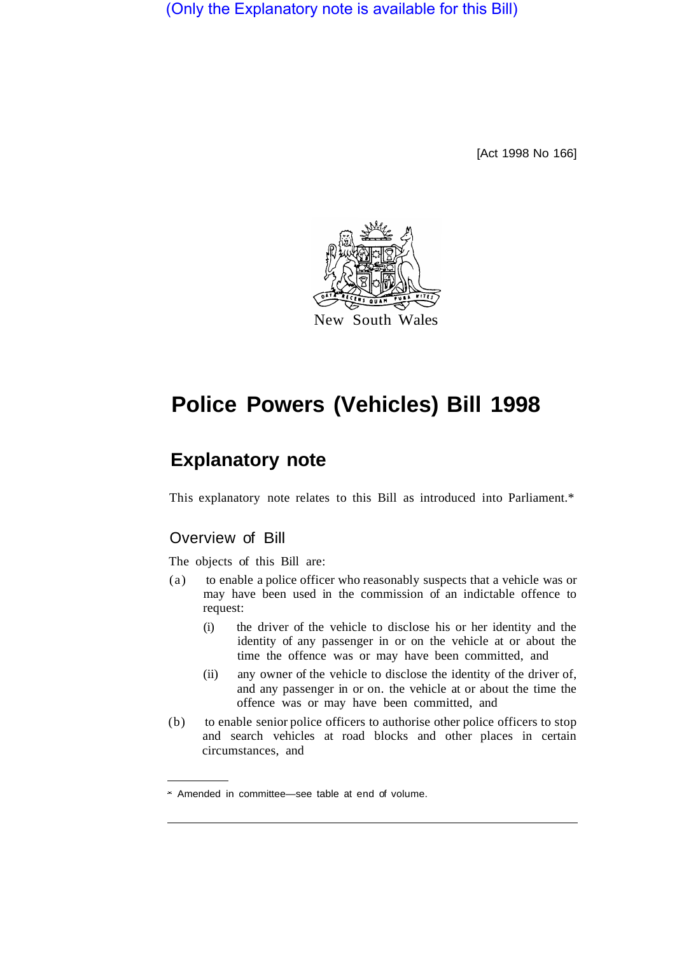(Only the Explanatory note is available for this Bill)

[Act 1998 No 166]



# **Police Powers (Vehicles) Bill 1998**

# **Explanatory note**

This explanatory note relates to this Bill as introduced into Parliament.\*

# Overview of Bill

The objects of this Bill are:

- (a) to enable a police officer who reasonably suspects that a vehicle was or may have been used in the commission of an indictable offence to request:
	- (i) the driver of the vehicle to disclose his or her identity and the identity of any passenger in or on the vehicle at or about the time the offence was or may have been committed, and
	- (ii) any owner of the vehicle to disclose the identity of the driver of, and any passenger in or on. the vehicle at or about the time the offence was or may have been committed, and
- (b) to enable senior police officers to authorise other police officers to stop and search vehicles at road blocks and other places in certain circumstances, and

Amended in committee—see table at end of volume.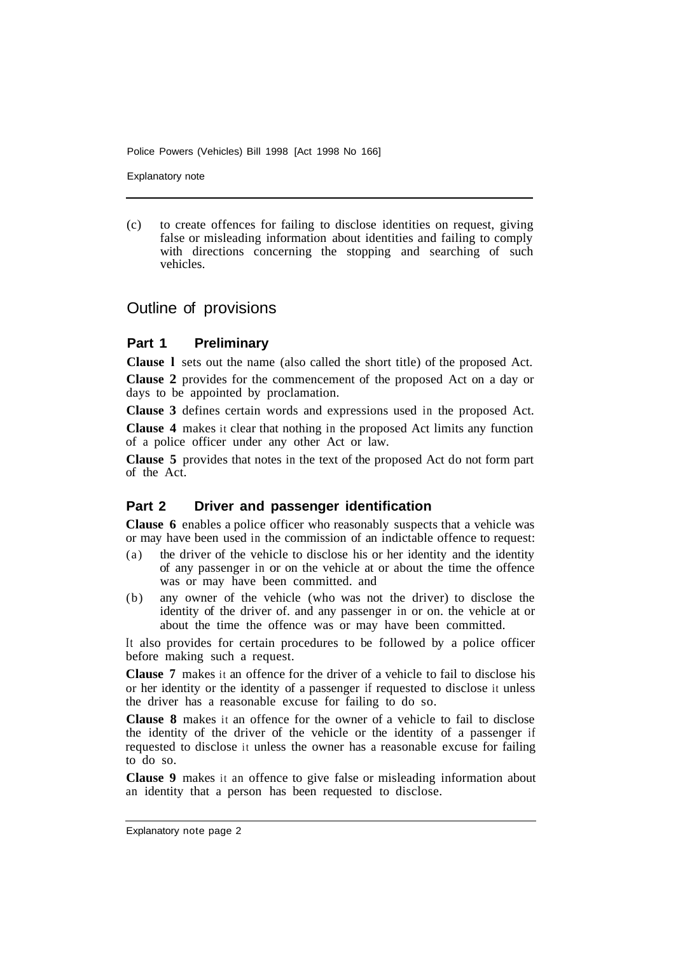Police Powers (Vehicles) Bill 1998 [Act 1998 No 166]

Explanatory note

(c) to create offences for failing to disclose identities on request, giving false or misleading information about identities and failing to comply with directions concerning the stopping and searching of such vehicles.

# Outline of provisions

#### **Part 1 Preliminary**

**Clause l** sets out the name (also called the short title) of the proposed Act. **Clause 2** provides for the commencement of the proposed Act on a day or days to be appointed by proclamation.

**Clause 3** defines certain words and expressions used in the proposed Act. **Clause 4** makes it clear that nothing in the proposed Act limits any function of a police officer under any other Act or law.

**Clause 5** provides that notes in the text of the proposed Act do not form part of the Act.

#### **Part 2 Driver and passenger identification**

**Clause 6** enables a police officer who reasonably suspects that a vehicle was or may have been used in the commission of an indictable offence to request:

- (a) the driver of the vehicle to disclose his or her identity and the identity of any passenger in or on the vehicle at or about the time the offence was or may have been committed. and
- (b) any owner of the vehicle (who was not the driver) to disclose the identity of the driver of. and any passenger in or on. the vehicle at or about the time the offence was or may have been committed.

It also provides for certain procedures to be followed by a police officer before making such a request.

**Clause 7** makes it an offence for the driver of a vehicle to fail to disclose his or her identity or the identity of a passenger if requested to disclose it unless the driver has a reasonable excuse for failing to do so.

**Clause 8** makes it an offence for the owner of a vehicle to fail to disclose the identity of the driver of the vehicle or the identity of a passenger if requested to disclose it unless the owner has a reasonable excuse for failing to do so.

**Clause 9** makes it an offence to give false or misleading information about an identity that a person has been requested to disclose.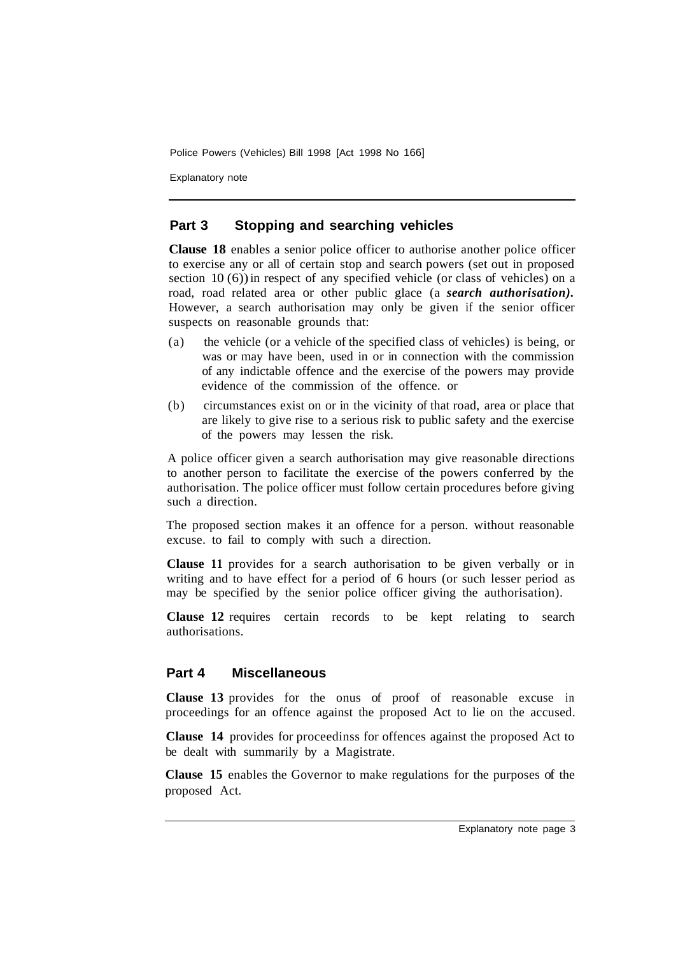Police Powers (Vehicles) Bill 1998 [Act 1998 No 166]

Explanatory note

### **Part 3 Stopping and searching vehicles**

**Clause 18** enables a senior police officer to authorise another police officer to exercise any or all of certain stop and search powers (set out in proposed section  $10(6)$ ) in respect of any specified vehicle (or class of vehicles) on a road, road related area or other public glace (a *search authorisation).*  However, a search authorisation may only be given if the senior officer suspects on reasonable grounds that:

- (a) the vehicle (or a vehicle of the specified class of vehicles) is being, or was or may have been, used in or in connection with the commission of any indictable offence and the exercise of the powers may provide evidence of the commission of the offence. or
- (b) circumstances exist on or in the vicinity of that road, area or place that are likely to give rise to a serious risk to public safety and the exercise of the powers may lessen the risk.

A police officer given a search authorisation may give reasonable directions to another person to facilitate the exercise of the powers conferred by the authorisation. The police officer must follow certain procedures before giving such a direction.

The proposed section makes it an offence for a person. without reasonable excuse. to fail to comply with such a direction.

**Clause 11** provides for a search authorisation to be given verbally or in writing and to have effect for a period of 6 hours (or such lesser period as may be specified by the senior police officer giving the authorisation).

**Clause 12** requires certain records to be kept relating to search authorisations.

#### **Part 4 Miscellaneous**

**Clause 13** provides for the onus of proof of reasonable excuse in proceedings for an offence against the proposed Act to lie on the accused.

**Clause 14** provides for proceedinss for offences against the proposed Act to be dealt with summarily by a Magistrate.

**Clause 15** enables the Governor to make regulations for the purposes of the proposed Act.